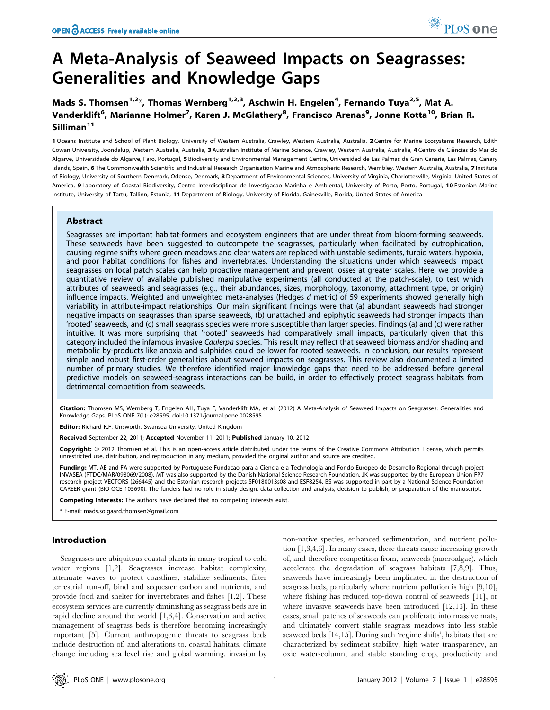# Mads S. Thomsen<sup>1,2\*</sup>, Thomas Wernberg<sup>1,2,3</sup>, Aschwin H. Engelen<sup>4</sup>, Fernando Tuya<sup>2,5</sup>, Mat A. Vanderklift<sup>6</sup>, Marianne Holmer<sup>7</sup>, Karen J. McGlathery<sup>8</sup>, Francisco Arenas<sup>9</sup>, Jonne Kotta<sup>10</sup>, Brian R. Silliman<sup>11</sup>

1 Oceans Institute and School of Plant Biology, University of Western Australia, Crawley, Western Australia, Australia, 2 Centre for Marine Ecosystems Research, Edith Cowan University, Joondalup, Western Australia, Australia, 3 Australian Institute of Marine Science, Crawley, Western Australia, Australia, 4 Centro de Ciências do Mar do Algarve, Universidade do Algarve, Faro, Portugal, 5 Biodiversity and Environmental Management Centre, Universidad de Las Palmas de Gran Canaria, Las Palmas, Canary Islands, Spain, 6 The Commonwealth Scientific and Industrial Research Organisation Marine and Atmospheric Research, Wembley, Western Australia, Australia, 7 Institute of Biology, University of Southern Denmark, Odense, Denmark, 8 Department of Environmental Sciences, University of Virginia, Charlottesville, Virginia, United States of America, 9 Laboratory of Coastal Biodiversity, Centro Interdisciplinar de Investigacao Marinha e Ambiental, University of Porto, Porto, Portugal, 10 Estonian Marine Institute, University of Tartu, Tallinn, Estonia, 11Department of Biology, University of Florida, Gainesville, Florida, United States of America

# Abstract

Seagrasses are important habitat-formers and ecosystem engineers that are under threat from bloom-forming seaweeds. These seaweeds have been suggested to outcompete the seagrasses, particularly when facilitated by eutrophication, causing regime shifts where green meadows and clear waters are replaced with unstable sediments, turbid waters, hypoxia, and poor habitat conditions for fishes and invertebrates. Understanding the situations under which seaweeds impact seagrasses on local patch scales can help proactive management and prevent losses at greater scales. Here, we provide a quantitative review of available published manipulative experiments (all conducted at the patch-scale), to test which attributes of seaweeds and seagrasses (e.g., their abundances, sizes, morphology, taxonomy, attachment type, or origin) influence impacts. Weighted and unweighted meta-analyses (Hedges  $d$  metric) of 59 experiments showed generally high variability in attribute-impact relationships. Our main significant findings were that (a) abundant seaweeds had stronger negative impacts on seagrasses than sparse seaweeds, (b) unattached and epiphytic seaweeds had stronger impacts than 'rooted' seaweeds, and (c) small seagrass species were more susceptible than larger species. Findings (a) and (c) were rather intuitive. It was more surprising that 'rooted' seaweeds had comparatively small impacts, particularly given that this category included the infamous invasive Caulerpa species. This result may reflect that seaweed biomass and/or shading and metabolic by-products like anoxia and sulphides could be lower for rooted seaweeds. In conclusion, our results represent simple and robust first-order generalities about seaweed impacts on seagrasses. This review also documented a limited number of primary studies. We therefore identified major knowledge gaps that need to be addressed before general predictive models on seaweed-seagrass interactions can be build, in order to effectively protect seagrass habitats from detrimental competition from seaweeds.

Citation: Thomsen MS, Wernberg T, Engelen AH, Tuya F, Vanderklift MA, et al. (2012) A Meta-Analysis of Seaweed Impacts on Seagrasses: Generalities and Knowledge Gaps. PLoS ONE 7(1): e28595. doi:10.1371/journal.pone.0028595

Editor: Richard K.F. Unsworth, Swansea University, United Kingdom

Received September 22, 2011; Accepted November 11, 2011; Published January 10, 2012

Copyright: © 2012 Thomsen et al. This is an open-access article distributed under the terms of the Creative Commons Attribution License, which permits unrestricted use, distribution, and reproduction in any medium, provided the original author and source are credited.

Funding: MT, AE and FA were supported by Portuguese Fundacao para a Ciencia e a Technologia and Fondo Europeo de Desarrollo Regional through project INVASEA (PTDC/MAR/098069/2008). MT was also supported by the Danish National Science Research Foundation. JK was supported by the European Union FP7 research project VECTORS (266445) and the Estonian research projects SF0180013s08 and ESF8254. BS was supported in part by a National Science Foundation CAREER grant (BIO-OCE 105690). The funders had no role in study design, data collection and analysis, decision to publish, or preparation of the manuscript.

Competing Interests: The authors have declared that no competing interests exist.

E-mail: mads.solgaard.thomsen@gmail.com

# Introduction

Seagrasses are ubiquitous coastal plants in many tropical to cold water regions [1,2]. Seagrasses increase habitat complexity, attenuate waves to protect coastlines, stabilize sediments, filter terrestrial run-off, bind and sequester carbon and nutrients, and provide food and shelter for invertebrates and fishes [1,2]. These ecosystem services are currently diminishing as seagrass beds are in rapid decline around the world [1,3,4]. Conservation and active management of seagrass beds is therefore becoming increasingly important [5]. Current anthropogenic threats to seagrass beds include destruction of, and alterations to, coastal habitats, climate change including sea level rise and global warming, invasion by non-native species, enhanced sedimentation, and nutrient pollution [1,3,4,6]. In many cases, these threats cause increasing growth of, and therefore competition from, seaweeds (macroalgae), which accelerate the degradation of seagrass habitats [7,8,9]. Thus, seaweeds have increasingly been implicated in the destruction of seagrass beds, particularly where nutrient pollution is high [9,10], where fishing has reduced top-down control of seaweeds [11], or where invasive seaweeds have been introduced [12,13]. In these cases, small patches of seaweeds can proliferate into massive mats, and ultimately convert stable seagrass meadows into less stable seaweed beds [14,15]. During such 'regime shifts', habitats that are characterized by sediment stability, high water transparency, an oxic water-column, and stable standing crop, productivity and

PLoS one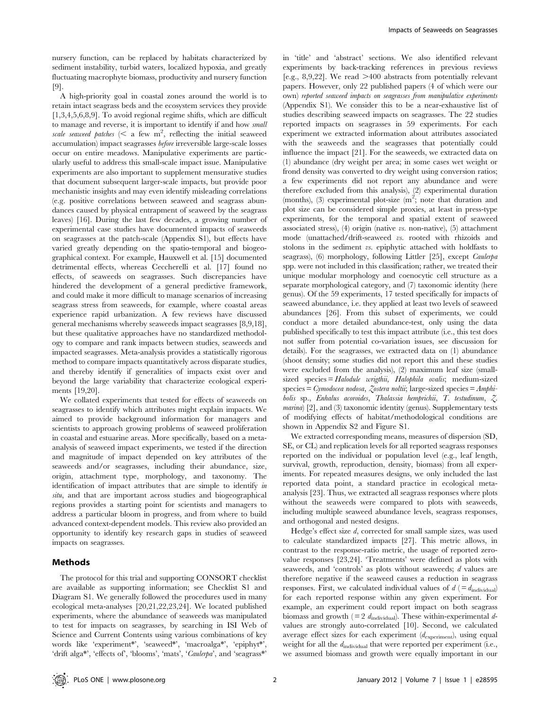nursery function, can be replaced by habitats characterized by sediment instability, turbid waters, localized hypoxia, and greatly fluctuating macrophyte biomass, productivity and nursery function [9].

A high-priority goal in coastal zones around the world is to retain intact seagrass beds and the ecosystem services they provide [1,3,4,5,6,8,9]. To avoid regional regime shifts, which are difficult to manage and reverse, it is important to identify if and how small scale seaweed patches ( $\leq$  a few m<sup>2</sup>, reflecting the initial seaweed accumulation) impact seagrasses before irreversible large-scale losses occur on entire meadows. Manipulative experiments are particularly useful to address this small-scale impact issue. Manipulative experiments are also important to supplement mensurative studies that document subsequent larger-scale impacts, but provide poor mechanistic insights and may even identify misleading correlations (e.g. positive correlations between seaweed and seagrass abundances caused by physical entrapment of seaweed by the seagrass leaves) [16]. During the last few decades, a growing number of experimental case studies have documented impacts of seaweeds on seagrasses at the patch-scale (Appendix S1), but effects have varied greatly depending on the spatio-temporal and biogeographical context. For example, Hauxwell et al. [15] documented detrimental effects, whereas Ceccherelli et al. [17] found no effects, of seaweeds on seagrasses. Such discrepancies have hindered the development of a general predictive framework, and could make it more difficult to manage scenarios of increasing seagrass stress from seaweeds, for example, where coastal areas experience rapid urbanization. A few reviews have discussed general mechanisms whereby seaweeds impact seagrasses [8,9,18], but these qualitative approaches have no standardized methodology to compare and rank impacts between studies, seaweeds and impacted seagrasses. Meta-analysis provides a statistically rigorous method to compare impacts quantitatively across disparate studies, and thereby identify if generalities of impacts exist over and beyond the large variability that characterize ecological experiments [19,20].

We collated experiments that tested for effects of seaweeds on seagrasses to identify which attributes might explain impacts. We aimed to provide background information for managers and scientists to approach growing problems of seaweed proliferation in coastal and estuarine areas. More specifically, based on a metaanalysis of seaweed impact experiments, we tested if the direction and magnitude of impact depended on key attributes of the seaweeds and/or seagrasses, including their abundance, size, origin, attachment type, morphology, and taxonomy. The identification of impact attributes that are simple to identify in situ, and that are important across studies and biogeographical regions provides a starting point for scientists and managers to address a particular bloom in progress, and from where to build advanced context-dependent models. This review also provided an opportunity to identify key research gaps in studies of seaweed impacts on seagrasses.

#### Methods

The protocol for this trial and supporting CONSORT checklist are available as supporting information; see Checklist S1 and Diagram S1. We generally followed the procedures used in many ecological meta-analyses [20,21,22,23,24]. We located published experiments, where the abundance of seaweeds was manipulated to test for impacts on seagrasses, by searching in ISI Web of Science and Current Contents using various combinations of key words like 'experiment\*', 'seaweed\*', 'macroalga\*', 'epiphyt\*' 'drift alga\*', 'effects of', 'blooms', 'mats', 'Caulerpa', and 'seagrass\*'

in 'title' and 'abstract' sections. We also identified relevant experiments by back-tracking references in previous reviews [e.g., 8,9,22]. We read  $>400$  abstracts from potentially relevant papers. However, only 22 published papers (4 of which were our own) reported seaweed impacts on seagrasses from manipulative experiments (Appendix S1). We consider this to be a near-exhaustive list of studies describing seaweed impacts on seagrasses. The 22 studies reported impacts on seagrasses in 59 experiments. For each experiment we extracted information about attributes associated with the seaweeds and the seagrasses that potentially could influence the impact [21]. For the seaweeds, we extracted data on (1) abundance (dry weight per area; in some cases wet weight or frond density was converted to dry weight using conversion ratios; a few experiments did not report any abundance and were therefore excluded from this analysis), (2) experimental duration (months), (3) experimental plot-size  $(m^2)$ ; note that duration and plot size can be considered simple proxies, at least in press-type experiments, for the temporal and spatial extent of seaweed associated stress),  $(4)$  origin (native *vs.* non-native),  $(5)$  attachment mode (unattached/drift-seaweed vs. rooted with rhizoids and stolons in the sediment vs. epiphytic attached with holdfasts to seagrass), (6) morphology, following Littler [25], except Caulerpa spp. were not included in this classification; rather, we treated their unique modular morphology and coenocytic cell structure as a separate morphological category, and (7) taxonomic identity (here genus). Of the 59 experiments, 17 tested specifically for impacts of seaweed abundance, i.e. they applied at least two levels of seaweed abundances [26]. From this subset of experiments, we could conduct a more detailed abundance-test, only using the data published specifically to test this impact attribute (i.e., this test does not suffer from potential co-variation issues, see discussion for details). For the seagrasses, we extracted data on (1) abundance (shoot density; some studies did not report this and these studies were excluded from the analysis), (2) maximum leaf size (smallsized species = Halodule wrigthii, Halophila ovalis; medium-sized  $species = Cymodocea nodosa, Zostera noltii; large-sized species = Amphi$ bolis sp., Enhalus acoroides, Thalassia hemprichii, T. testudinum, Z. marina) [2], and (3) taxonomic identity (genus). Supplementary tests of modifying effects of habitat/methodological conditions are shown in Appendix S2 and Figure S1.

We extracted corresponding means, measures of dispersion (SD, SE, or CL) and replication levels for all reported seagrass responses reported on the individual or population level (e.g., leaf length, survival, growth, reproduction, density, biomass) from all experiments. For repeated measures designs, we only included the last reported data point, a standard practice in ecological metaanalysis [23]. Thus, we extracted all seagrass responses where plots without the seaweeds were compared to plots with seaweeds, including multiple seaweed abundance levels, seagrass responses, and orthogonal and nested designs.

Hedge's effect size d, corrected for small sample sizes, was used to calculate standardized impacts [27]. This metric allows, in contrast to the response-ratio metric, the usage of reported zerovalue responses [23,24]. 'Treatments' were defined as plots with seaweeds, and 'controls' as plots without seaweeds; d values are therefore negative if the seaweed causes a reduction in seagrass responses. First, we calculated individual values of  $d$  (=  $d_{\text{individual}}$ ) for each reported response within any given experiment. For example, an experiment could report impact on both seagrass biomass and growth ( $= 2$   $d_{\text{individual}}$ ). These within-experimental  $d$ values are strongly auto-correlated [10]. Second, we calculated average effect sizes for each experiment (dexperiment), using equal weight for all the  $d_{\text{individual}}$  that were reported per experiment (i.e., we assumed biomass and growth were equally important in our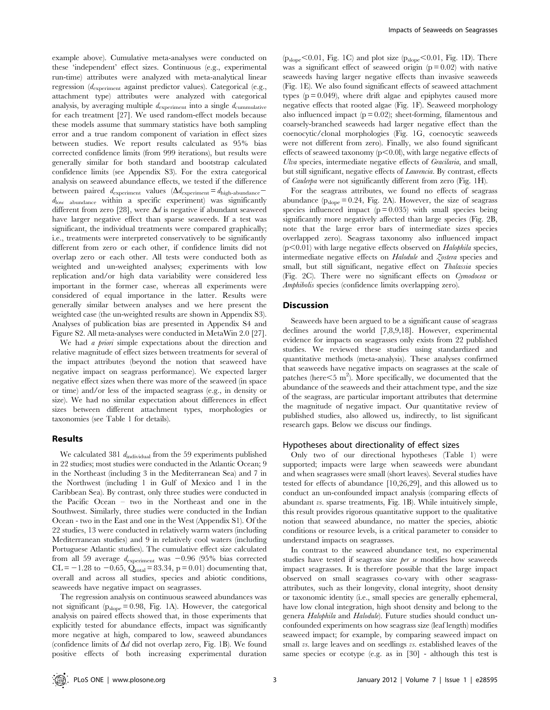example above). Cumulative meta-analyses were conducted on these 'independent' effect sizes. Continuous (e.g., experimental run-time) attributes were analyzed with meta-analytical linear regression (dexperiment against predictor values). Categorical (e.g., attachment type) attributes were analyzed with categorical analysis, by averaging multiple  $d_{\text{experiment}}$  into a single  $d_{\text{cumulative}}$ for each treatment [27]. We used random-effect models because these models assume that summary statistics have both sampling error and a true random component of variation in effect sizes between studies. We report results calculated as 95% bias corrected confidence limits (from 999 iterations), but results were generally similar for both standard and bootstrap calculated confidence limits (see Appendix S3). For the extra categorical analysis on seaweed abundance effects, we tested if the difference between paired  $d_{\text{experiment}}$  values  $(\Delta d_{\text{experiment}} = d_{\text{high-abundance}}$  $d_{\text{low}}$  abundance within a specific experiment) was significantly different from zero [28], were  $\Delta d$  is negative if abundant seaweed have larger negative effect than sparse seaweeds. If a test was significant, the individual treatments were compared graphically; i.e., treatments were interpreted conservatively to be significantly different from zero or each other, if confidence limits did not overlap zero or each other. All tests were conducted both as weighted and un-weighted analyses; experiments with low replication and/or high data variability were considered less important in the former case, whereas all experiments were considered of equal importance in the latter. Results were generally similar between analyses and we here present the weighted case (the un-weighted results are shown in Appendix S3). Analyses of publication bias are presented in Appendix S4 and Figure S2. All meta-analyses were conducted in MetaWin 2.0 [27].

We had *a priori* simple expectations about the direction and relative magnitude of effect sizes between treatments for several of the impact attributes (beyond the notion that seaweed have negative impact on seagrass performance). We expected larger negative effect sizes when there was more of the seaweed (in space or time) and/or less of the impacted seagrass (e.g., in density or size). We had no similar expectation about differences in effect sizes between different attachment types, morphologies or taxonomies (see Table 1 for details).

# Results

We calculated 381  $d_{\text{individual}}$  from the 59 experiments published in 22 studies; most studies were conducted in the Atlantic Ocean; 9 in the Northeast (including 3 in the Mediterranean Sea) and 7 in the Northwest (including 1 in Gulf of Mexico and 1 in the Caribbean Sea). By contrast, only three studies were conducted in the Pacific Ocean – two in the Northeast and one in the Southwest. Similarly, three studies were conducted in the Indian Ocean - two in the East and one in the West (Appendix S1). Of the 22 studies, 13 were conducted in relatively warm waters (including Mediterranean studies) and 9 in relatively cool waters (including Portuguese Atlantic studies). The cumulative effect size calculated from all 59 average  $d_{\text{experiment}}$  was  $-0.96$  (95% bias corrected  $CL = -1.28$  to  $-0.65$ ,  $Q_{total} = 83.34$ ,  $p = 0.01$ ) documenting that, overall and across all studies, species and abiotic conditions, seaweeds have negative impact on seagrasses.

The regression analysis on continuous seaweed abundances was not significant (pslope= 0.98, Fig. 1A). However, the categorical analysis on paired effects showed that, in those experiments that explicitly tested for abundance effects, impact was significantly more negative at high, compared to low, seaweed abundances (confidence limits of  $\Delta d$  did not overlap zero, Fig. 1B). We found positive effects of both increasing experimental duration

 $(p_{slope}<0.01,$  Fig. 1C) and plot size  $(p_{slope}<0.01,$  Fig. 1D). There was a significant effect of seaweed origin  $(p = 0.02)$  with native seaweeds having larger negative effects than invasive seaweeds (Fig. 1E). We also found significant effects of seaweed attachment types  $(p = 0.049)$ , where drift algae and epiphytes caused more negative effects that rooted algae (Fig. 1F). Seaweed morphology also influenced impact  $(p = 0.02)$ ; sheet-forming, filamentous and coarsely-branched seaweeds had larger negative effect than the coenocytic/clonal morphologies (Fig. 1G, coenocytic seaweeds were not different from zero). Finally, we also found significant effects of seaweed taxonomy  $(p<0.0l)$ , with large negative effects of Ulva species, intermediate negative effects of Gracilaria, and small, but still significant, negative effects of Laurencia. By contrast, effects of Caulerpa were not significantly different from zero (Fig. 1H).

For the seagrass attributes, we found no effects of seagrass abundance  $(p_{slope}= 0.24, Fig. 2A)$ . However, the size of seagrass species influenced impact  $(p = 0.035)$  with small species being significantly more negatively affected than large species (Fig. 2B, note that the large error bars of intermediate sizes species overlapped zero). Seagrass taxonomy also influenced impact  $(p<0.01)$  with large negative effects observed on Halophila species, intermediate negative effects on Halodule and Zostera species and small, but still significant, negative effect on Thalassia species (Fig. 2C). There were no significant effects on Cymodocea or Amphibolis species (confidence limits overlapping zero).

#### **Discussion**

Seaweeds have been argued to be a significant cause of seagrass declines around the world [7,8,9,18]. However, experimental evidence for impacts on seagrasses only exists from 22 published studies. We reviewed these studies using standardized and quantitative methods (meta-analysis). These analyses confirmed that seaweeds have negative impacts on seagrasses at the scale of patches (here $\leq 5$  m<sup>2</sup>). More specifically, we documented that the abundance of the seaweeds and their attachment type, and the size of the seagrass, are particular important attributes that determine the magnitude of negative impact. Our quantitative review of published studies, also allowed us, indirectly, to list significant research gaps. Below we discuss our findings.

### Hypotheses about directionality of effect sizes

Only two of our directional hypotheses (Table 1) were supported; impacts were large when seaweeds were abundant and when seagrasses were small (short leaves). Several studies have tested for effects of abundance [10,26,29], and this allowed us to conduct an un-confounded impact analysis (comparing effects of abundant vs. sparse treatments, Fig. 1B). While intuitively simple, this result provides rigorous quantitative support to the qualitative notion that seaweed abundance, no matter the species, abiotic conditions or resource levels, is a critical parameter to consider to understand impacts on seagrasses.

In contrast to the seaweed abundance test, no experimental studies have tested if seagrass size *per se* modifies how seaweeds impact seagrasses. It is therefore possible that the large impact observed on small seagrasses co-vary with other seagrassattributes, such as their longevity, clonal integrity, shoot density or taxonomic identity (i.e., small species are generally ephemeral, have low clonal integration, high shoot density and belong to the genera Halophila and Halodule). Future studies should conduct unconfounded experiments on how seagrass size (leaf length) modifies seaweed impact; for example, by comparing seaweed impact on small vs. large leaves and on seedlings vs. established leaves of the same species or ecotype (e.g. as in [30] - although this test is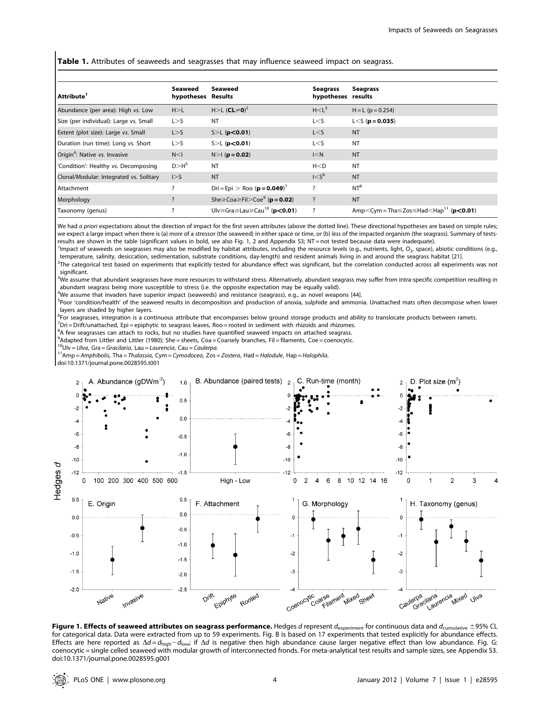**Table 1.** Attributes of seaweeds and seagrasses that may influence seaweed impact on seagrass.

| Attribute <sup>1</sup>                    | Seaweed<br>hypotheses Results | Seaweed                                                        | Seagrass<br>hypotheses results | Seagrass                                                                                              |
|-------------------------------------------|-------------------------------|----------------------------------------------------------------|--------------------------------|-------------------------------------------------------------------------------------------------------|
| Abundance (per area): High vs. Low        | H > L                         | H>L (CL≠0) <sup>2</sup>                                        | H < L <sup>3</sup>             | $H = L (p = 0.254)$                                                                                   |
| Size (per individual): Large vs. Small    | L > S                         | <b>NT</b>                                                      | L < S                          | $L < S$ (p = 0.035)                                                                                   |
| Extent (plot size): Large vs. Small       | L > S                         | $S>L$ (p<0.01)                                                 | L < S                          | <b>NT</b>                                                                                             |
| Duration (run time): Long vs. Short       | L > S                         | $S>L$ (p<0.01)                                                 | L < S                          | <b>NT</b>                                                                                             |
| Origin <sup>4</sup> : Native vs. Invasive | N < I                         | $N>1$ ( $p = 0.02$ )                                           | I < N                          | <b>NT</b>                                                                                             |
| 'Condition': Healthy vs. Decomposing      | D > H <sup>5</sup>            | <b>NT</b>                                                      | H < D                          | <b>NT</b>                                                                                             |
| Clonal/Modular: Integrated vs. Solitary   | $\vert > 5$                   | <b>NT</b>                                                      | 1 < S <sup>6</sup>             | <b>NT</b>                                                                                             |
| Attachment                                |                               | Dri = Epi > Roo ( $p = 0.049$ ) <sup>7</sup>                   | ?                              | $NT^8$                                                                                                |
| Morphology                                |                               | She $\geq$ Coa $\geq$ Fil $>$ Coe $\degree$ ( <b>p</b> = 0.02) | $\overline{\cdot}$             | <b>NT</b>                                                                                             |
| Taxonomy (genus)                          |                               | Ulv≥Gra≥Lau≥Cau <sup>10</sup> (p<0.01)                         | ?                              | Amp <cym =="" tha<math="">\leZos<math>\le</math>Had<math>\le</math>Hap<sup>11</sup> (p&lt;0.01)</cym> |

We had a priori expectations about the direction of impact for the first seven attributes (above the dotted line). These directional hypotheses are based on simple rules; we expect a large impact when there is (a) more of a stressor (the seaweed) in either space or time, or (b) less of the impacted organism (the seagrass). Summary of testsresults are shown in the table (significant values in bold, see also Fig. 1, 2 and Appendix S3; NT = not tested because data were inadequate).

<sup>1</sup>Impact of seaweeds on seagrasses may also be modified by habitat attributes, including the resource levels (e.g., nutrients, light, O<sub>2</sub>, space), abiotic conditions (e.g., temperature, salinity, desiccation, sedimentation, substrate conditions, day-length) and resident animals living in and around the seagrass habitat [21]. <sup>2</sup>  $^2$ The categorical test based on experiments that explicitly tested for abundance effect was significant, but the correlation conducted across all experiments was not

significant.

<sup>3</sup>We assume that abundant seagrasses have more resources to withstand stress. Alternatively, abundant seagrass may suffer from intra-specific competition resulting in abundant seagrass being more susceptible to stress (i.e. the opposite expectation may be equally valid).

4 We assume that invaders have superior impact (seaweeds) and resistance (seagrass), e.g., as novel weapons [44].

<sup>5</sup>Poor 'condition/health' of the seaweed results in decomposition and production of anoxia, sulphide and ammonia. Unattached mats often decompose when lower layers are shaded by higher layers.

<sup>6</sup>For seagrasses, integration is a continuous attribute that encompasses below ground storage products and ability to translocate products between ramets.<br><sup>7</sup>Dri – Drift/unattached, Eni – epiphytic to seagrass leaves, Poo

 $^7$ Dri = Drift/unattached, Epi = epiphytic to seagrass leaves, Roo = rooted in sediment with rhizoids and rhizomes.

<sup>8</sup>A few seagrasses can attach to rocks, but no studies have quantified seaweed impacts on attached seagrass.

<sup>9</sup> Adapted from Littler and Littler (1980); She = sheets, Coa = Coarsely branches, Fil = filaments, Coe = coenocytic.

<sup>10</sup>Ulv = Ulva, Gra = Gracilaria, Lau = Laurencia, Cau = Caulerpa.<br><sup>11</sup>Amp = Amphibolis, Tha = Thalassia, Cym = Cymodocea, Zos = Zostera, Had = Halodule, Hap = Halophila.

doi:10.1371/journal.pone.0028595.t001



Figure 1. Effects of seaweed attributes on seagrass performance. Hedges d represent d<sub>experiment</sub> for continuous data and d<sub>cumulative</sub>  $\pm$ 95% CL for categorical data. Data were extracted from up to 59 experiments. Fig. B is based on 17 experiments that tested explicitly for abundance effects. Effects are here reported as  $\Delta d = d_{\text{high}} - d_{\text{low}}$  if  $\Delta d$  is negative then high abundance cause larger negative effect than low abundance. Fig. G: coenocytic = single celled seaweed with modular growth of interconnected fronds. For meta-analytical test results and sample sizes, see Appendix S3. doi:10.1371/journal.pone.0028595.g001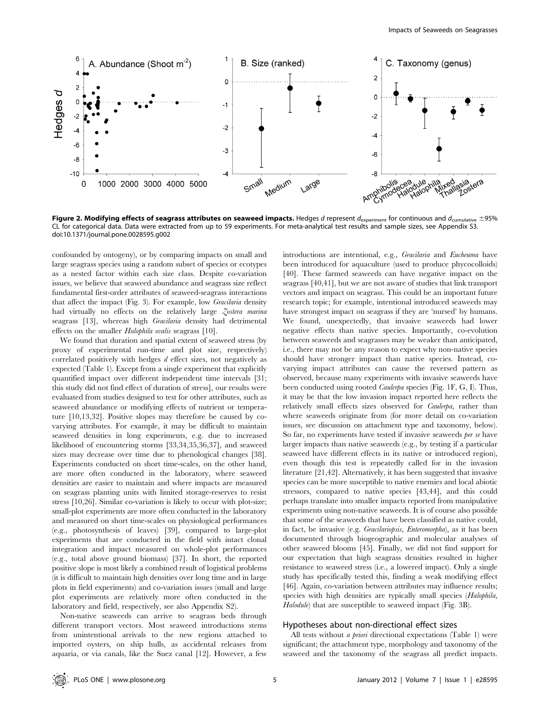

Figure 2. Modifying effects of seagrass attributes on seaweed impacts. Hedges d represent  $d_{\text{experiment}}$  for continuous and  $d_{\text{cumulative}} \pm 95\%$ CL for categorical data. Data were extracted from up to 59 experiments. For meta-analytical test results and sample sizes, see Appendix S3. doi:10.1371/journal.pone.0028595.g002

confounded by ontogeny), or by comparing impacts on small and large seagrass species using a random subset of species or ecotypes as a nested factor within each size class. Despite co-variation issues, we believe that seaweed abundance and seagrass size reflect fundamental first-order attributes of seaweed-seagrass interactions that affect the impact (Fig. 3). For example, low Gracilaria density had virtually no effects on the relatively large Zostera marina seagrass [13], whereas high Gracilaria density had detrimental effects on the smaller Halophila ovalis seagrass [10].

We found that duration and spatial extent of seaweed stress (by proxy of experimental run-time and plot size, respectively) correlated positively with hedges d effect sizes, not negatively as expected (Table 1). Except from a single experiment that explicitly quantified impact over different independent time intervals [31; this study did not find effect of duration of stress], our results were evaluated from studies designed to test for other attributes, such as seaweed abundance or modifying effects of nutrient or temperature [10,13,32]. Positive slopes may therefore be caused by covarying attributes. For example, it may be difficult to maintain seaweed densities in long experiments, e.g. due to increased likelihood of encountering storms [33,34,35,36,37], and seaweed sizes may decrease over time due to phenological changes [38]. Experiments conducted on short time-scales, on the other hand, are more often conducted in the laboratory, where seaweed densities are easier to maintain and where impacts are measured on seagrass planting units with limited storage-reserves to resist stress [10,26]. Similar co-variation is likely to occur with plot-size; small-plot experiments are more often conducted in the laboratory and measured on short time-scales on physiological performances (e.g., photosynthesis of leaves) [39], compared to large-plot experiments that are conducted in the field with intact clonal integration and impact measured on whole-plot performances (e.g., total above ground biomass) [37]. In short, the reported positive slope is most likely a combined result of logistical problems (it is difficult to maintain high densities over long time and in large plots in field experiments) and co-variation issues (small and large plot experiments are relatively more often conducted in the laboratory and field, respectively, see also Appendix S2).

Non-native seaweeds can arrive to seagrass beds through different transport vectors. Most seaweed introductions stems from unintentional arrivals to the new regions attached to imported oysters, on ship hulls, as accidental releases from aquaria, or via canals, like the Suez canal [12]. However, a few introductions are intentional, e.g., Gracilaria and Eucheuma have been introduced for aquaculture (used to produce phycocolloids) [40]. These farmed seaweeds can have negative impact on the seagrass [40,41], but we are not aware of studies that link transport vectors and impact on seagrass. This could be an important future research topic; for example, intentional introduced seaweeds may have strongest impact on seagrass if they are 'nursed' by humans. We found, unexpectedly, that invasive seaweeds had lower negative effects than native species. Importantly, co-evolution between seaweeds and seagrasses may be weaker than anticipated, i.e., there may not be any reason to expect why non-native species should have stronger impact than native species. Instead, covarying impact attributes can cause the reversed pattern as observed, because many experiments with invasive seaweeds have been conducted using rooted Caulerpa species (Fig. 1F, G, I). Thus, it may be that the low invasion impact reported here reflects the relatively small effects sizes observed for Caulerpa, rather than where seaweeds originate from (for more detail on co-variation issues, see discussion on attachment type and taxonomy, below). So far, no experiments have tested if invasive seaweeds per se have larger impacts than native seaweeds (e.g., by testing if a particular seaweed have different effects in its native or introduced region), even though this test is repeatedly called for in the invasion literature [21,42]. Alternatively, it has been suggested that invasive species can be more susceptible to native enemies and local abiotic stressors, compared to native species [43,44], and this could perhaps translate into smaller impacts reported from manipulative experiments using non-native seaweeds. It is of course also possible that some of the seaweeds that have been classified as native could, in fact, be invasive (e.g. Gracilariopsis, Enteromorpha), as it has been documented through biogeographic and molecular analyses of other seaweed blooms [45]. Finally, we did not find support for our expectation that high seagrass densities resulted in higher resistance to seaweed stress (i.e., a lowered impact). Only a single study has specifically tested this, finding a weak modifying effect [46]. Again, co-variation between attributes may influence results; species with high densities are typically small species (Halophila, Halodule) that are susceptible to seaweed impact (Fig. 3B).

#### Hypotheses about non-directional effect sizes

All tests without a priori directional expectations (Table 1) were significant; the attachment type, morphology and taxonomy of the seaweed and the taxonomy of the seagrass all predict impacts.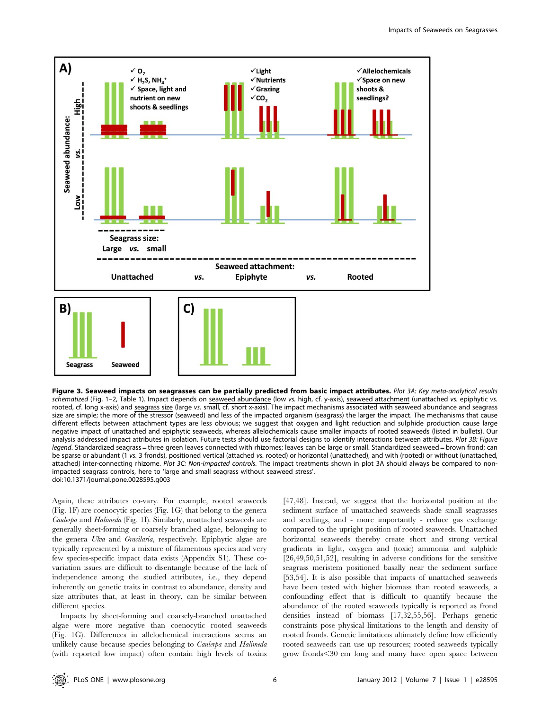

Figure 3. Seaweed impacts on seagrasses can be partially predicted from basic impact attributes. Plot 3A: Key meta-analytical results schematized (Fig. 1–2, Table 1). Impact depends on seaweed abundance (low vs. high, cf. y-axis), seaweed attachment (unattached vs. epiphytic vs. rooted, cf. long x-axis) and seagrass size (large vs. small, cf. short x-axis). The impact mechanisms associated with seaweed abundance and seagrass size are simple; the more of the stressor (seaweed) and less of the impacted organism (seagrass) the larger the impact. The mechanisms that cause different effects between attachment types are less obvious; we suggest that oxygen and light reduction and sulphide production cause large negative impact of unattached and epiphytic seaweeds, whereas allelochemicals cause smaller impacts of rooted seaweeds (listed in bullets). Our analysis addressed impact attributes in isolation. Future tests should use factorial designs to identify interactions between attributes. Plot 3B: Figure legend. Standardized seagrass = three green leaves connected with rhizomes; leaves can be large or small. Standardized seaweed = brown frond; can be sparse or abundant (1 vs. 3 fronds), positioned vertical (attached vs. rooted) or horizontal (unattached), and with (rooted) or without (unattached, attached) inter-connecting rhizome. Plot 3C: Non-impacted controls. The impact treatments shown in plot 3A should always be compared to nonimpacted seagrass controls, here to 'large and small seagrass without seaweed stress'. doi:10.1371/journal.pone.0028595.g003

Again, these attributes co-vary. For example, rooted seaweeds (Fig. 1F) are coenocytic species (Fig. 1G) that belong to the genera Caulerpa and Halimeda (Fig. 1I). Similarly, unattached seaweeds are generally sheet-forming or coarsely branched algae, belonging to the genera Ulva and Gracilaria, respectively. Epiphytic algae are typically represented by a mixture of filamentous species and very few species-specific impact data exists (Appendix S1). These covariation issues are difficult to disentangle because of the lack of independence among the studied attributes, i.e., they depend inherently on genetic traits in contrast to abundance, density and size attributes that, at least in theory, can be similar between different species.

Impacts by sheet-forming and coarsely-branched unattached algae were more negative than coenocytic rooted seaweeds (Fig. 1G). Differences in allelochemical interactions seems an unlikely cause because species belonging to *Caulerpa* and *Halimeda* (with reported low impact) often contain high levels of toxins

[47,48]. Instead, we suggest that the horizontal position at the sediment surface of unattached seaweeds shade small seagrasses and seedlings, and - more importantly - reduce gas exchange compared to the upright position of rooted seaweeds. Unattached horizontal seaweeds thereby create short and strong vertical gradients in light, oxygen and (toxic) ammonia and sulphide [26,49,50,51,52], resulting in adverse conditions for the sensitive seagrass meristem positioned basally near the sediment surface [53,54]. It is also possible that impacts of unattached seaweeds have been tested with higher biomass than rooted seaweeds, a confounding effect that is difficult to quantify because the abundance of the rooted seaweeds typically is reported as frond densities instead of biomass [17,32,55,56]. Perhaps genetic constraints pose physical limitations to the length and density of rooted fronds. Genetic limitations ultimately define how efficiently rooted seaweeds can use up resources; rooted seaweeds typically grow fronds < 30 cm long and many have open space between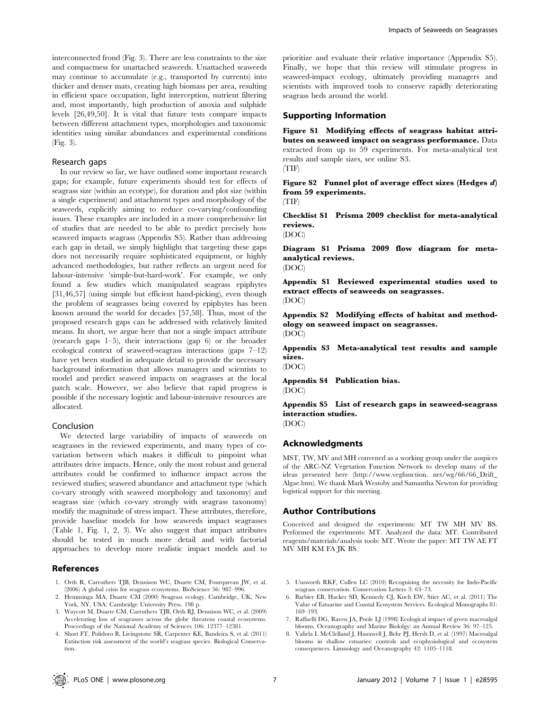interconnected frond (Fig. 3). There are less constraints to the size and compactness for unattached seaweeds. Unattached seaweeds may continue to accumulate (e.g., transported by currents) into thicker and denser mats, creating high biomass per area, resulting in efficient space occupation, light interception, nutrient filtering and, most importantly, high production of anoxia and sulphide levels [26,49,50]. It is vital that future tests compare impacts between different attachment types, morphologies and taxonomic identities using similar abundances and experimental conditions (Fig. 3).

### Research gaps

In our review so far, we have outlined some important research gaps; for example, future experiments should test for effects of seagrass size (within an ecotype), for duration and plot size (within a single experiment) and attachment types and morphology of the seaweeds, explicitly aiming to reduce co-varying/confounding issues. These examples are included in a more comprehensive list of studies that are needed to be able to predict precisely how seaweed impacts seagrass (Appendix S5). Rather than addressing each gap in detail, we simply highlight that targeting these gaps does not necessarily require sophisticated equipment, or highly advanced methodologies, but rather reflects an urgent need for labour-intensive 'simple-but-hard-work'. For example, we only found a few studies which manipulated seagrass epiphytes [31,46,57] (using simple but efficient hand-picking), even though the problem of seagrasses being covered by epiphytes has been known around the world for decades [57,58]. Thus, most of the proposed research gaps can be addressed with relatively limited means. In short, we argue here that not a single impact attribute (research gaps 1–5), their interactions (gap 6) or the broader ecological context of seaweed-seagrass interactions (gaps 7–12) have yet been studied in adequate detail to provide the necessary background information that allows managers and scientists to model and predict seaweed impacts on seagrasses at the local patch scale. However, we also believe that rapid progress is possible if the necessary logistic and labour-intensive resources are allocated.

# Conclusion

We detected large variability of impacts of seaweeds on seagrasses in the reviewed experiments, and many types of covariation between which makes it difficult to pinpoint what attributes drive impacts. Hence, only the most robust and general attributes could be confirmed to influence impact across the reviewed studies; seaweed abundance and attachment type (which co-vary strongly with seaweed morphology and taxonomy) and seagrass size (which co-vary strongly with seagrass taxonomy) modify the magnitude of stress impact. These attributes, therefore, provide baseline models for how seaweeds impact seagrasses (Table 1, Fig. 1, 2, 3). We also suggest that impact attributes should be tested in much more detail and with factorial approaches to develop more realistic impact models and to

### References

- 1. Orth R, Carruthers TJB, Dennison WC, Duarte CM, Fourqurean JW, et al. (2006) A global crisis for seagrass ecosystems. BioScience 56: 987–996.
- 2. Hemminga MA, Duarte CM (2000) Seagrass ecology. Cambridge, UK, New York, NY, USA: Cambridge University Press. 198 p.
- 3. Waycott M, Duarte CM, Carruthers TJB, Orth RJ, Dennison WC, et al. (2009) Accelerating loss of seagrasses across the globe threatens coastal ecosystems. Proceedings of the National Academy of Sciences 106: 12377–12381.
- 4. Short FT, Polidoro B, Livingstone SR, Carpenter KE, Bandeira S, et al. (2011) Extinction risk assessment of the world's seagrass species. Biological Conservation.

prioritize and evaluate their relative importance (Appendix S5). Finally, we hope that this review will stimulate progress in seaweed-impact ecology, ultimately providing managers and scientists with improved tools to conserve rapidly deteriorating seagrass beds around the world.

#### Supporting Information

Figure S1 Modifying effects of seagrass habitat attributes on seaweed impact on seagrass performance. Data extracted from up to 59 experiments. For meta-analytical test results and sample sizes, see online S3. (TIF)

Figure S2 Funnel plot of average effect sizes (Hedges d) from 59 experiments.

(TIF)

Checklist S1 Prisma 2009 checklist for meta-analytical reviews.

(DOC)

Diagram S1 Prisma 2009 flow diagram for metaanalytical reviews. (DOC)

Appendix S1 Reviewed experimental studies used to extract effects of seaweeds on seagrasses.

(DOC)

Appendix S2 Modifying effects of habitat and methodology on seaweed impact on seagrasses. (DOC)

Appendix S3 Meta-analytical test results and sample sizes.

(DOC)

Appendix S4 Publication bias. (DOC)

Appendix S5 List of research gaps in seaweed-seagrass interaction studies. (DOC)

# Acknowledgments

MST, TW, MV and MH convened as a working group under the auspices of the ARC-NZ Vegetation Function Network to develop many of the ideas presented here (http://www.vegfunction. net/wg/66/66\_Drift\_ Algae.htm). We thank Mark Westoby and Samantha Newton for providing logistical support for this meeting.

### Author Contributions

Conceived and designed the experiments: MT TW MH MV BS. Performed the experiments: MT. Analyzed the data: MT. Contributed reagents/materials/analysis tools: MT. Wrote the paper: MT TW AE FT MV MH KM FA JK BS.

- 5. Unsworth RKF, Cullen LC (2010) Recognising the necessity for Indo-Pacific seagrass conservation. Conservation Letters 3: 63–73.
- 6. Barbier EB, Hacker SD, Kennedy CJ, Koch EW, Stier AC, et al. (2011) The Value of Estuarine and Coastal Ecosystem Services. Ecological Monographs 81: 169–193.
- 7. Raffaelli DG, Raven JA, Poole LJ (1998) Ecological impact of green macroalgal blooms. Oceanography and Marine Biololgy: an Annual Review 36: 97–125.
- 8. Valiela I, McClelland J, Hauxwell J, Behr PJ, Hersh D, et al. (1997) Macroalgal blooms in shallow estuaries: controls and ecophysiological and ecosystem consequences. Limnology and Oceanography 42: 1105–1118.